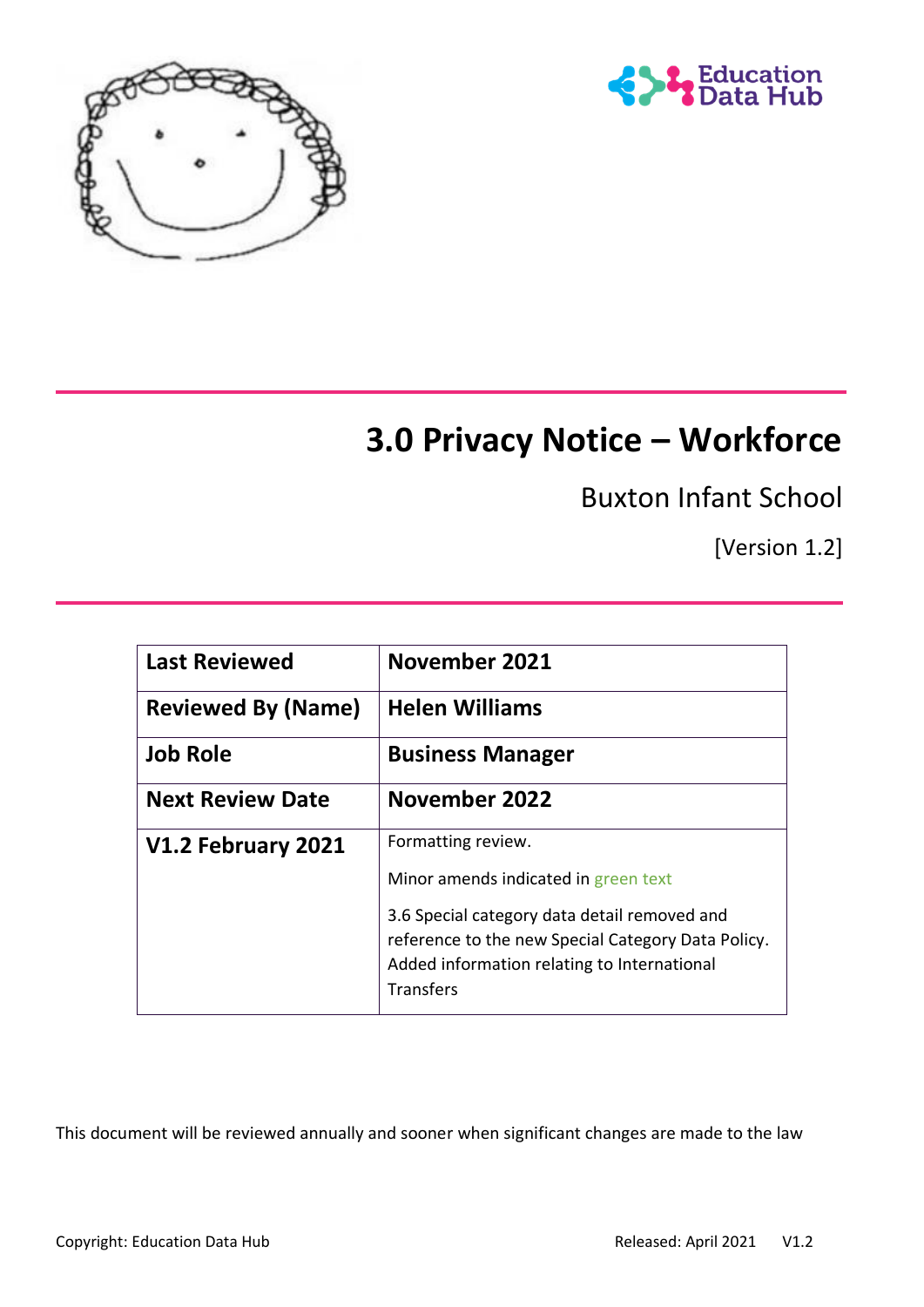



# **3.0 Privacy Notice – Workforce**

Buxton Infant School

[Version 1.2]

| <b>Last Reviewed</b>      | November 2021                                                                                                                                                         |
|---------------------------|-----------------------------------------------------------------------------------------------------------------------------------------------------------------------|
| <b>Reviewed By (Name)</b> | <b>Helen Williams</b>                                                                                                                                                 |
| <b>Job Role</b>           | <b>Business Manager</b>                                                                                                                                               |
| <b>Next Review Date</b>   | November 2022                                                                                                                                                         |
| V1.2 February 2021        | Formatting review.                                                                                                                                                    |
|                           | Minor amends indicated in green text                                                                                                                                  |
|                           | 3.6 Special category data detail removed and<br>reference to the new Special Category Data Policy.<br>Added information relating to International<br><b>Transfers</b> |

This document will be reviewed annually and sooner when significant changes are made to the law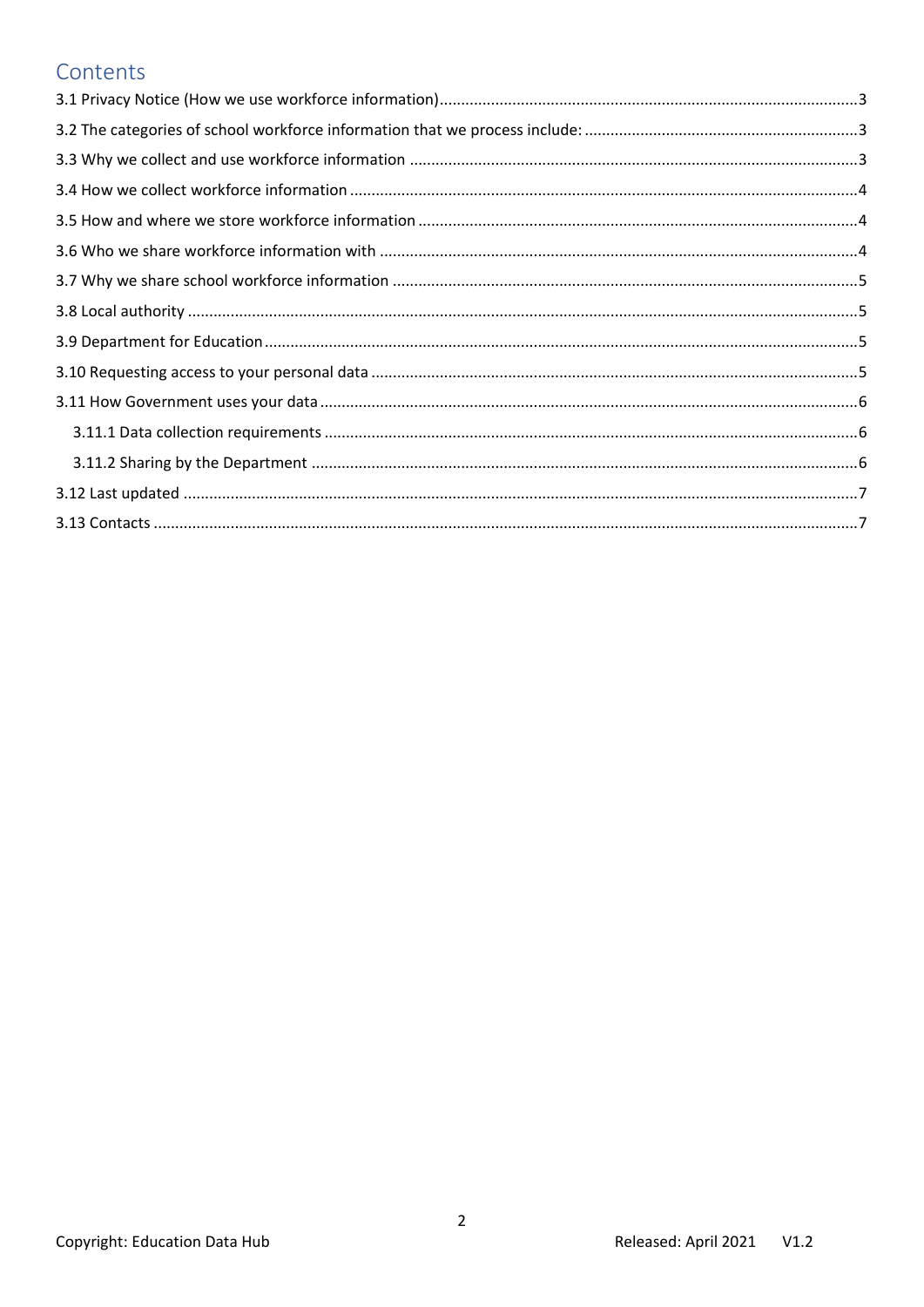#### Contents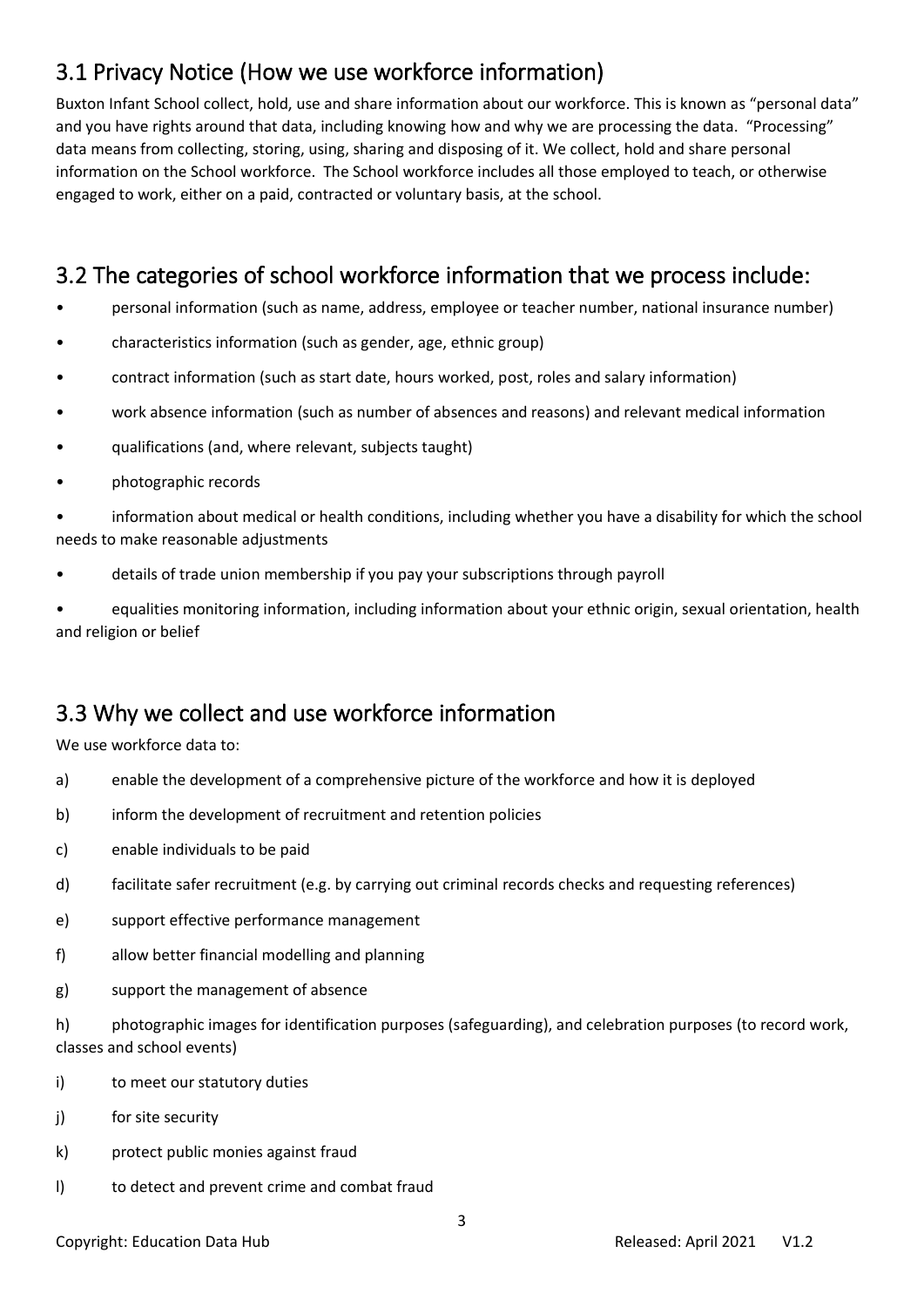## <span id="page-2-0"></span>3.1 Privacy Notice (How we use workforce information)

Buxton Infant School collect, hold, use and share information about our workforce. This is known as "personal data" and you have rights around that data, including knowing how and why we are processing the data. "Processing" data means from collecting, storing, using, sharing and disposing of it. We collect, hold and share personal information on the School workforce. The School workforce includes all those employed to teach, or otherwise engaged to work, either on a paid, contracted or voluntary basis, at the school.

### <span id="page-2-1"></span>3.2 The categories of school workforce information that we process include:

- personal information (such as name, address, employee or teacher number, national insurance number)
- characteristics information (such as gender, age, ethnic group)
- contract information (such as start date, hours worked, post, roles and salary information)
- work absence information (such as number of absences and reasons) and relevant medical information
- qualifications (and, where relevant, subjects taught)
- photographic records

• information about medical or health conditions, including whether you have a disability for which the school needs to make reasonable adjustments

• details of trade union membership if you pay your subscriptions through payroll

• equalities monitoring information, including information about your ethnic origin, sexual orientation, health and religion or belief

### <span id="page-2-2"></span>3.3 Why we collect and use workforce information

We use workforce data to:

- a) enable the development of a comprehensive picture of the workforce and how it is deployed
- b) inform the development of recruitment and retention policies
- c) enable individuals to be paid
- d) facilitate safer recruitment (e.g. by carrying out criminal records checks and requesting references)
- e) support effective performance management
- f) allow better financial modelling and planning
- g) support the management of absence

h) photographic images for identification purposes (safeguarding), and celebration purposes (to record work, classes and school events)

- i) to meet our statutory duties
- j) for site security
- k) protect public monies against fraud
- l) to detect and prevent crime and combat fraud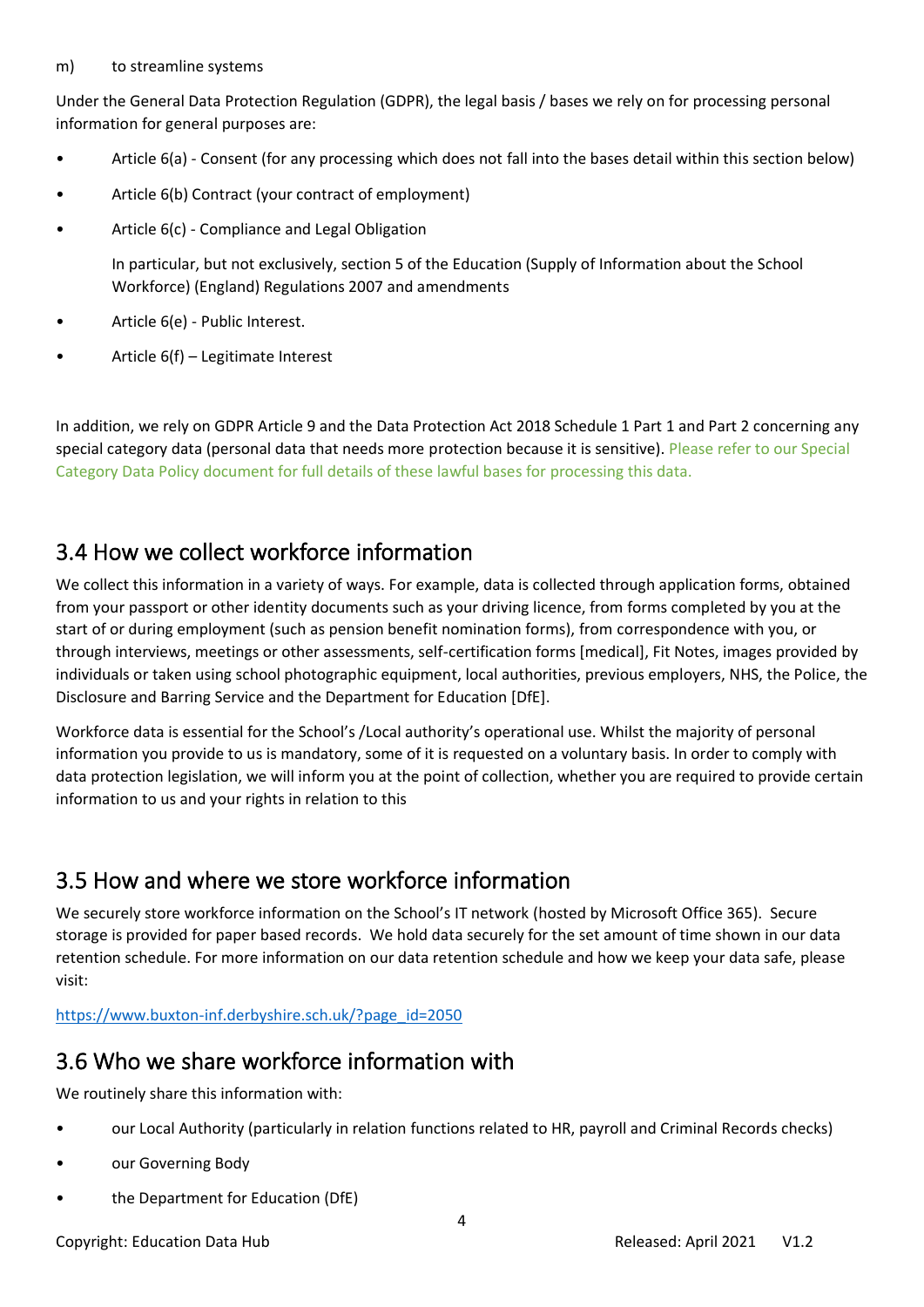#### m) to streamline systems

Under the General Data Protection Regulation (GDPR), the legal basis / bases we rely on for processing personal information for general purposes are:

- Article 6(a) Consent (for any processing which does not fall into the bases detail within this section below)
- Article 6(b) Contract (your contract of employment)
- Article 6(c) Compliance and Legal Obligation

In particular, but not exclusively, section 5 of the Education (Supply of Information about the School Workforce) (England) Regulations 2007 and amendments

- Article 6(e) Public Interest.
- Article 6(f) Legitimate Interest

In addition, we rely on GDPR Article 9 and the Data Protection Act 2018 Schedule 1 Part 1 and Part 2 concerning any special category data (personal data that needs more protection because it is sensitive). Please refer to our Special Category Data Policy document for full details of these lawful bases for processing this data.

#### <span id="page-3-0"></span>3.4 How we collect workforce information

We collect this information in a variety of ways. For example, data is collected through application forms, obtained from your passport or other identity documents such as your driving licence, from forms completed by you at the start of or during employment (such as pension benefit nomination forms), from correspondence with you, or through interviews, meetings or other assessments, self-certification forms [medical], Fit Notes, images provided by individuals or taken using school photographic equipment, local authorities, previous employers, NHS, the Police, the Disclosure and Barring Service and the Department for Education [DfE].

Workforce data is essential for the School's /Local authority's operational use. Whilst the majority of personal information you provide to us is mandatory, some of it is requested on a voluntary basis. In order to comply with data protection legislation, we will inform you at the point of collection, whether you are required to provide certain information to us and your rights in relation to this

### <span id="page-3-1"></span>3.5 How and where we store workforce information

We securely store workforce information on the School's IT network (hosted by Microsoft Office 365). Secure storage is provided for paper based records. We hold data securely for the set amount of time shown in our data retention schedule. For more information on our data retention schedule and how we keep your data safe, please visit:

[https://www.buxton-inf.derbyshire.sch.uk/?page\\_id=2050](https://www.buxton-inf.derbyshire.sch.uk/?page_id=2050)

### <span id="page-3-2"></span>3.6 Who we share workforce information with

We routinely share this information with:

- our Local Authority (particularly in relation functions related to HR, payroll and Criminal Records checks)
- our Governing Body
- the Department for Education (DfE)

Copyright: Education Data Hub **Released: April 2021** V1.2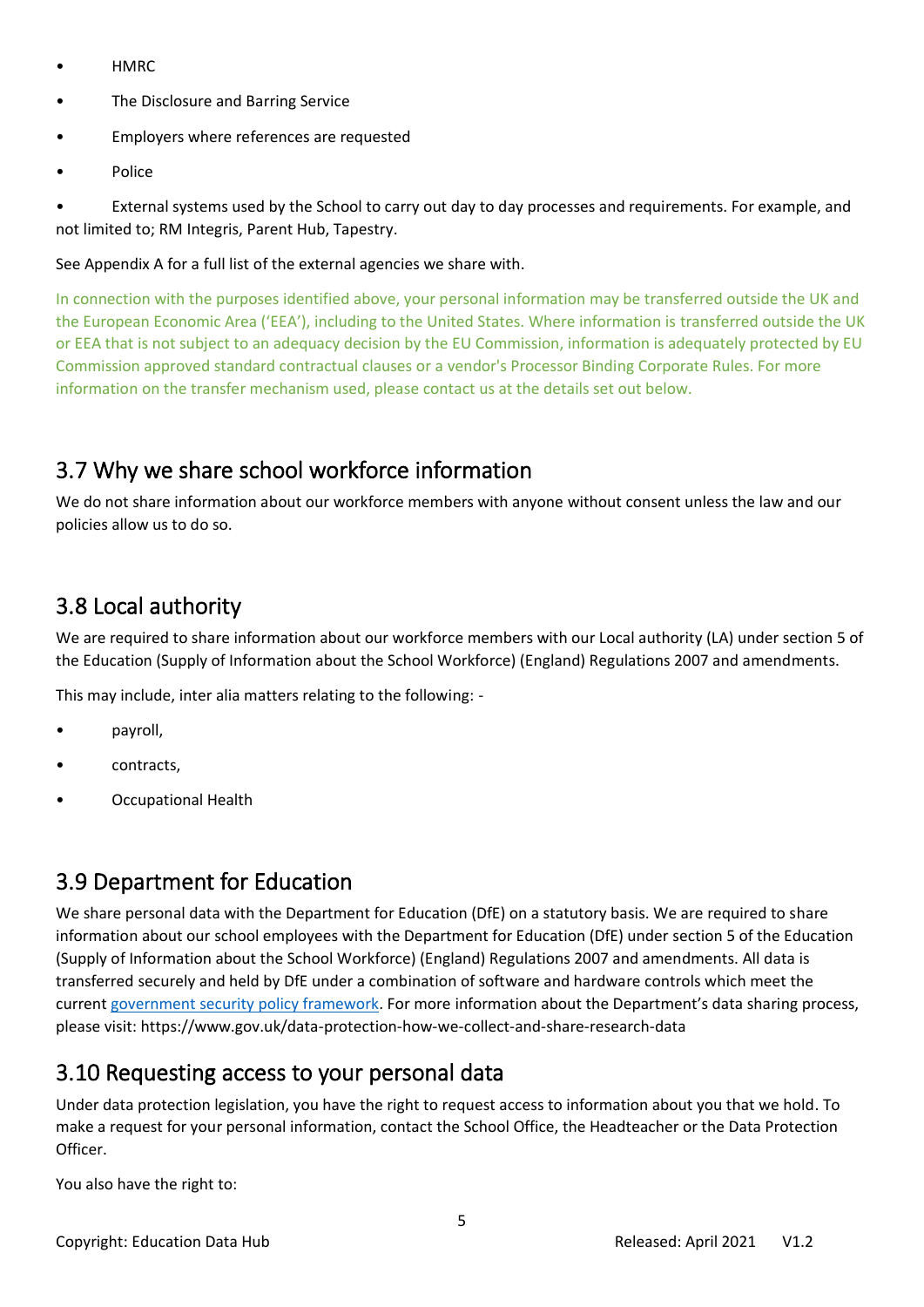- HMRC
- The Disclosure and Barring Service
- Employers where references are requested
- Police

• External systems used by the School to carry out day to day processes and requirements. For example, and not limited to; RM Integris, Parent Hub, Tapestry.

#### See Appendix A for a full list of the external agencies we share with.

In connection with the purposes identified above, your personal information may be transferred outside the UK and the European Economic Area ('EEA'), including to the United States. Where information is transferred outside the UK or EEA that is not subject to an adequacy decision by the EU Commission, information is adequately protected by EU Commission approved standard contractual clauses or a vendor's Processor Binding Corporate Rules. For more information on the transfer mechanism used, please contact us at the details set out below.

### <span id="page-4-0"></span>3.7 Why we share school workforce information

We do not share information about our workforce members with anyone without consent unless the law and our policies allow us to do so.

## <span id="page-4-1"></span>3.8 Local authority

We are required to share information about our workforce members with our Local authority (LA) under section 5 of the Education (Supply of Information about the School Workforce) (England) Regulations 2007 and amendments.

This may include, inter alia matters relating to the following: -

- payroll,
- contracts,
- Occupational Health

### <span id="page-4-2"></span>3.9 Department for Education

We share personal data with the Department for Education (DfE) on a statutory basis. We are required to share information about our school employees with the Department for Education (DfE) under section 5 of the Education (Supply of Information about the School Workforce) (England) Regulations 2007 and amendments. All data is transferred securely and held by DfE under a combination of software and hardware controls which meet the current [government security policy framework](https://www.gov.uk/government/publications/security-policy-framework). For more information about the Department's data sharing process, please visit: https://www.gov.uk/data-protection-how-we-collect-and-share-research-data

#### <span id="page-4-3"></span>3.10 Requesting access to your personal data

Under data protection legislation, you have the right to request access to information about you that we hold. To make a request for your personal information, contact the School Office, the Headteacher or the Data Protection Officer.

You also have the right to: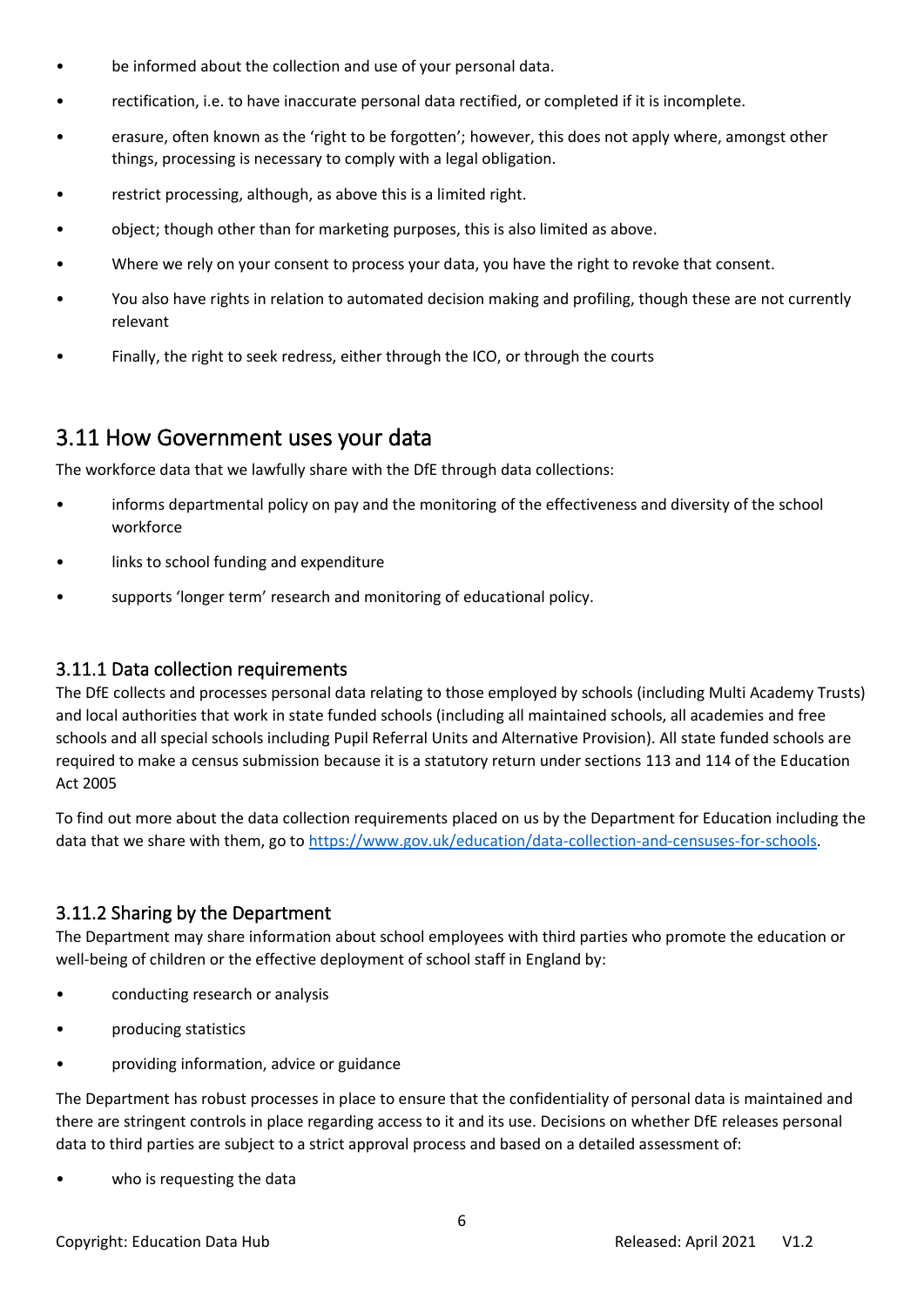- be informed about the collection and use of your personal data.
- rectification, i.e. to have inaccurate personal data rectified, or completed if it is incomplete.
- erasure, often known as the 'right to be forgotten'; however, this does not apply where, amongst other things, processing is necessary to comply with a legal obligation.
- restrict processing, although, as above this is a limited right.
- object; though other than for marketing purposes, this is also limited as above.
- Where we rely on your consent to process your data, you have the right to revoke that consent.
- You also have rights in relation to automated decision making and profiling, though these are not currently relevant
- Finally, the right to seek redress, either through the ICO, or through the courts

#### <span id="page-5-0"></span>3.11 How Government uses your data

The workforce data that we lawfully share with the DfE through data collections:

- informs departmental policy on pay and the monitoring of the effectiveness and diversity of the school workforce
- links to school funding and expenditure
- supports 'longer term' research and monitoring of educational policy.

#### <span id="page-5-1"></span>3.11.1 Data collection requirements

The DfE collects and processes personal data relating to those employed by schools (including Multi Academy Trusts) and local authorities that work in state funded schools (including all maintained schools, all academies and free schools and all special schools including Pupil Referral Units and Alternative Provision). All state funded schools are required to make a census submission because it is a statutory return under sections 113 and 114 of the Education Act 2005

To find out more about the data collection requirements placed on us by the Department for Education including the data that we share with them, go to [https://www.gov.uk/education/data-collection-and-censuses-for-schools.](https://www.gov.uk/education/data-collection-and-censuses-for-schools)

#### <span id="page-5-2"></span>3.11.2 Sharing by the Department

The Department may share information about school employees with third parties who promote the education or well-being of children or the effective deployment of school staff in England by:

- conducting research or analysis
- producing statistics
- providing information, advice or guidance

The Department has robust processes in place to ensure that the confidentiality of personal data is maintained and there are stringent controls in place regarding access to it and its use. Decisions on whether DfE releases personal data to third parties are subject to a strict approval process and based on a detailed assessment of:

who is requesting the data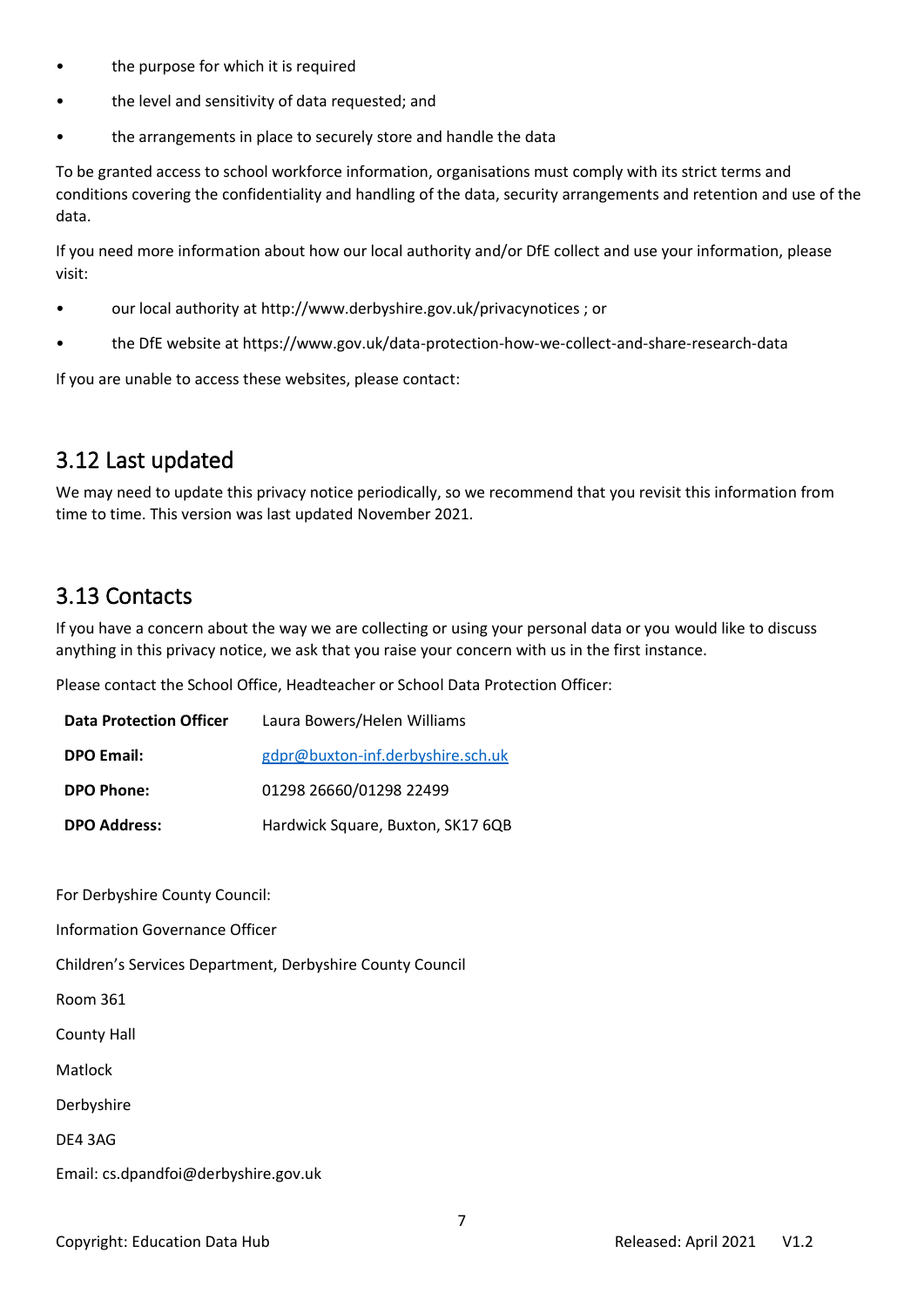- the purpose for which it is required
- the level and sensitivity of data requested; and
- the arrangements in place to securely store and handle the data

To be granted access to school workforce information, organisations must comply with its strict terms and conditions covering the confidentiality and handling of the data, security arrangements and retention and use of the data.

If you need more information about how our local authority and/or DfE collect and use your information, please visit:

- our local authority at http://www.derbyshire.gov.uk/privacynotices ; or
- the DfE website at https://www.gov.uk/data-protection-how-we-collect-and-share-research-data

If you are unable to access these websites, please contact:

#### <span id="page-6-0"></span>3.12 Last updated

We may need to update this privacy notice periodically, so we recommend that you revisit this information from time to time. This version was last updated November 2021.

#### <span id="page-6-1"></span>3.13 Contacts

If you have a concern about the way we are collecting or using your personal data or you would like to discuss anything in this privacy notice, we ask that you raise your concern with us in the first instance.

Please contact the School Office, Headteacher or School Data Protection Officer:

| <b>Data Protection Officer</b> | Laura Bowers/Helen Williams       |
|--------------------------------|-----------------------------------|
| <b>DPO Email:</b>              | gdpr@buxton-inf.derbyshire.sch.uk |
| <b>DPO Phone:</b>              | 01298 26660/01298 22499           |
| <b>DPO Address:</b>            | Hardwick Square, Buxton, SK17 6QB |

For Derbyshire County Council:

Information Governance Officer

Children's Services Department, Derbyshire County Council

Room 361

County Hall

Matlock

Derbyshire

DE4 3AG

Email: cs.dpandfoi@derbyshire.gov.uk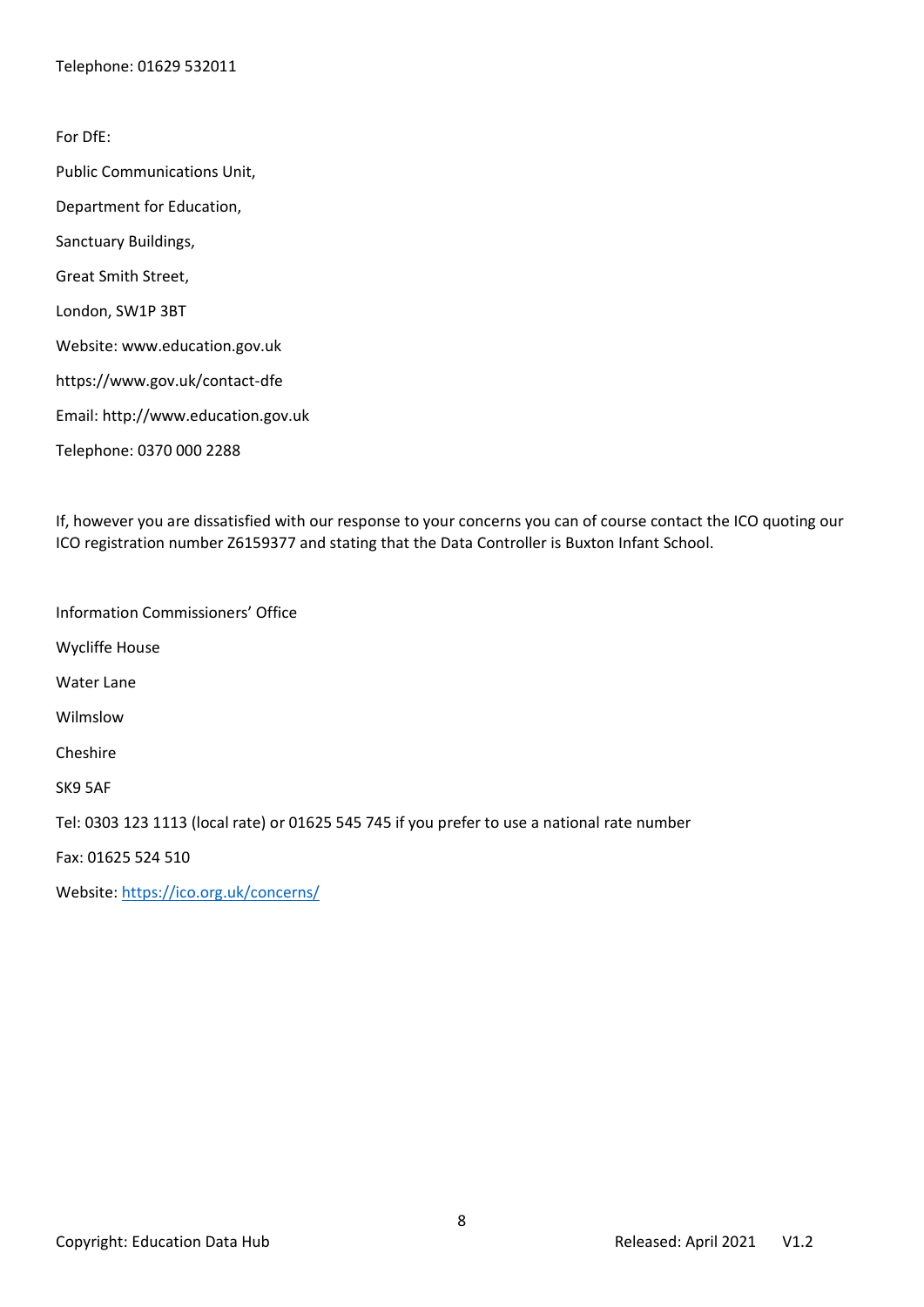For DfE: Public Communications Unit, Department for Education, Sanctuary Buildings, Great Smith Street, London, SW1P 3BT Website: www.education.gov.uk https://www.gov.uk/contact-dfe Email: http://www.education.gov.uk Telephone: 0370 000 2288

If, however you are dissatisfied with our response to your concerns you can of course contact the ICO quoting our ICO registration number Z6159377 and stating that the Data Controller is Buxton Infant School.

Information Commissioners' Office Wycliffe House Water Lane Wilmslow Cheshire SK9 5AF Tel: 0303 123 1113 (local rate) or 01625 545 745 if you prefer to use a national rate number Fax: 01625 524 510 Website:<https://ico.org.uk/concerns/>